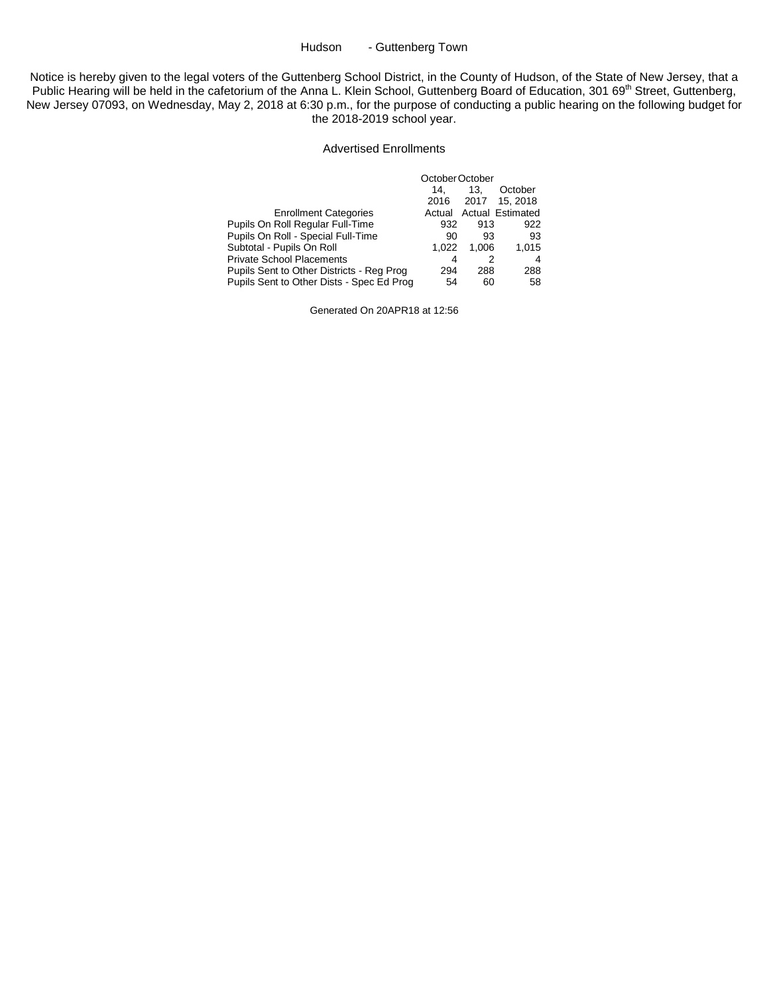### Hudson - Guttenberg Town

Notice is hereby given to the legal voters of the Guttenberg School District, in the County of Hudson, of the State of New Jersey, that a Public Hearing will be held in the cafetorium of the Anna L. Klein School, Guttenberg Board of Education, 301 69<sup>th</sup> Street, Guttenberg, New Jersey 07093, on Wednesday, May 2, 2018 at 6:30 p.m., for the purpose of conducting a public hearing on the following budget for the 2018-2019 school year.

#### Advertised Enrollments

|                                           | October October |       |                  |  |
|-------------------------------------------|-----------------|-------|------------------|--|
|                                           | 14.             | 13.   | October          |  |
|                                           | 2016            | 2017  | 15, 2018         |  |
| <b>Enrollment Categories</b>              | Actual          |       | Actual Estimated |  |
| Pupils On Roll Regular Full-Time          | 932             | 913   | 922              |  |
| Pupils On Roll - Special Full-Time        | 90              | 93    | 93               |  |
| Subtotal - Pupils On Roll                 | 1.022           | 1.006 | 1.015            |  |
| <b>Private School Placements</b>          | 4               |       | 4                |  |
| Pupils Sent to Other Districts - Reg Prog | 294             | 288   | 288              |  |
| Pupils Sent to Other Dists - Spec Ed Prog | 54              | 60    | 58               |  |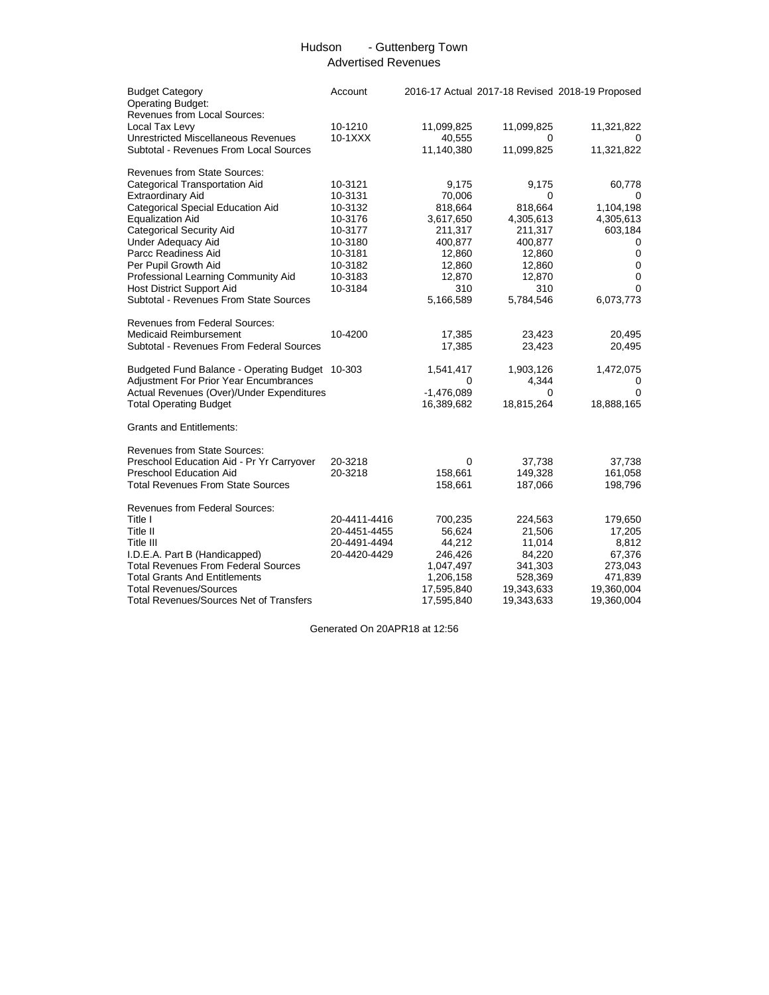## Hudson - Guttenberg Town Advertised Revenues

| <b>Budget Category</b><br><b>Operating Budget:</b><br>Revenues from Local Sources: | Account      |              |            | 2016-17 Actual 2017-18 Revised 2018-19 Proposed |
|------------------------------------------------------------------------------------|--------------|--------------|------------|-------------------------------------------------|
| Local Tax Levy                                                                     | 10-1210      | 11,099,825   | 11,099,825 | 11,321,822                                      |
| <b>Unrestricted Miscellaneous Revenues</b>                                         | $10-1XXX$    | 40,555       | 0          | 0                                               |
| Subtotal - Revenues From Local Sources                                             |              | 11,140,380   | 11,099,825 | 11,321,822                                      |
| <b>Revenues from State Sources:</b>                                                |              |              |            |                                                 |
| Categorical Transportation Aid                                                     | 10-3121      | 9,175        | 9,175      | 60,778                                          |
| Extraordinary Aid                                                                  | 10-3131      | 70,006       | 0          | 0                                               |
| Categorical Special Education Aid                                                  | 10-3132      | 818,664      | 818,664    | 1,104,198                                       |
| <b>Equalization Aid</b>                                                            | 10-3176      | 3,617,650    | 4,305,613  | 4,305,613                                       |
| <b>Categorical Security Aid</b>                                                    | 10-3177      | 211,317      | 211,317    | 603,184                                         |
| <b>Under Adequacy Aid</b>                                                          | 10-3180      | 400,877      | 400,877    | 0                                               |
| Parcc Readiness Aid                                                                | 10-3181      | 12,860       | 12,860     | $\mathbf 0$                                     |
| Per Pupil Growth Aid                                                               | 10-3182      | 12,860       | 12,860     | 0                                               |
| Professional Learning Community Aid                                                | 10-3183      | 12,870       | 12,870     | 0                                               |
| <b>Host District Support Aid</b>                                                   | 10-3184      | 310          | 310        | $\Omega$                                        |
| Subtotal - Revenues From State Sources                                             |              | 5,166,589    | 5,784,546  | 6,073,773                                       |
| <b>Revenues from Federal Sources:</b>                                              |              |              |            |                                                 |
| <b>Medicaid Reimbursement</b>                                                      | 10-4200      | 17,385       | 23,423     | 20,495                                          |
| Subtotal - Revenues From Federal Sources                                           |              | 17,385       | 23,423     | 20,495                                          |
| Budgeted Fund Balance - Operating Budget 10-303                                    |              | 1,541,417    | 1,903,126  | 1,472,075                                       |
| <b>Adjustment For Prior Year Encumbrances</b>                                      |              | 0            | 4,344      | 0                                               |
| Actual Revenues (Over)/Under Expenditures                                          |              | $-1,476,089$ | 0          | $\Omega$                                        |
| <b>Total Operating Budget</b>                                                      |              | 16,389,682   | 18,815,264 | 18,888,165                                      |
| <b>Grants and Entitlements:</b>                                                    |              |              |            |                                                 |
| <b>Revenues from State Sources:</b>                                                |              |              |            |                                                 |
| Preschool Education Aid - Pr Yr Carryover                                          | 20-3218      | 0            | 37,738     | 37,738                                          |
| <b>Preschool Education Aid</b>                                                     | 20-3218      | 158,661      | 149,328    | 161,058                                         |
| <b>Total Revenues From State Sources</b>                                           |              | 158,661      | 187,066    | 198,796                                         |
| <b>Revenues from Federal Sources:</b>                                              |              |              |            |                                                 |
| Title I                                                                            | 20-4411-4416 | 700,235      | 224,563    | 179,650                                         |
| Title II                                                                           | 20-4451-4455 | 56,624       | 21,506     | 17,205                                          |
| Title III                                                                          | 20-4491-4494 | 44,212       | 11,014     | 8,812                                           |
| I.D.E.A. Part B (Handicapped)                                                      | 20-4420-4429 | 246,426      | 84,220     | 67,376                                          |
| <b>Total Revenues From Federal Sources</b>                                         |              | 1,047,497    | 341,303    | 273,043                                         |
| <b>Total Grants And Entitlements</b>                                               |              | 1,206,158    | 528,369    | 471,839                                         |
| <b>Total Revenues/Sources</b>                                                      |              | 17,595,840   | 19,343,633 | 19,360,004                                      |
| <b>Total Revenues/Sources Net of Transfers</b>                                     |              | 17,595,840   | 19,343,633 | 19,360,004                                      |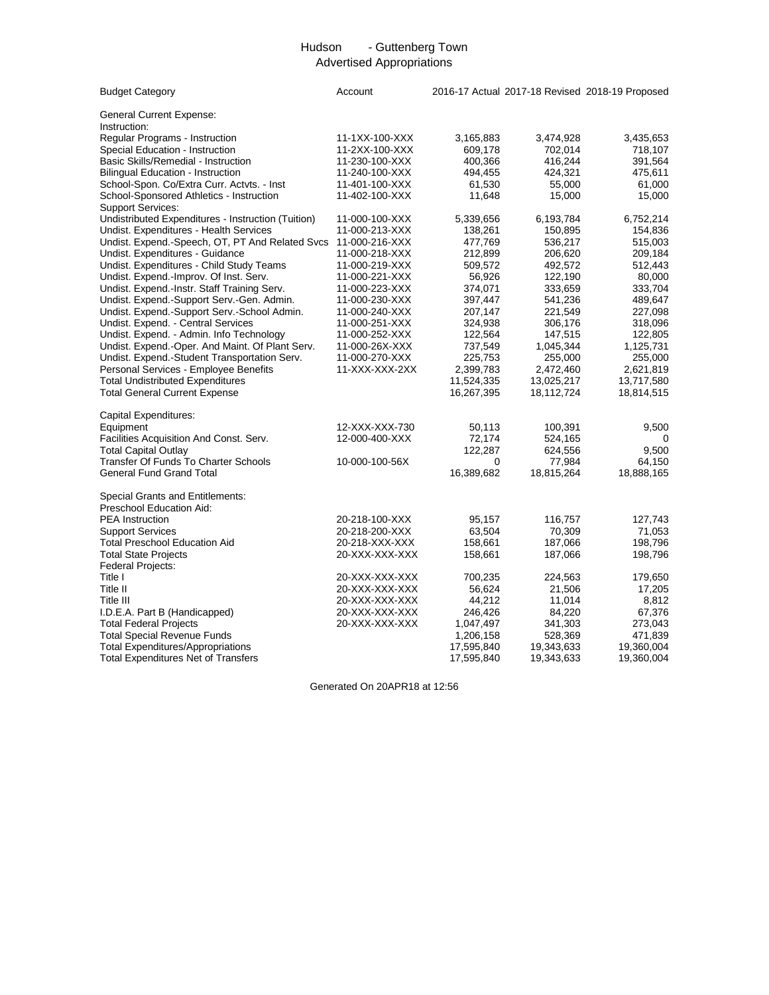# Hudson - Guttenberg Town Advertised Appropriations

| <b>Budget Category</b>                             | Account        |            |            | 2016-17 Actual 2017-18 Revised 2018-19 Proposed |
|----------------------------------------------------|----------------|------------|------------|-------------------------------------------------|
| <b>General Current Expense:</b><br>Instruction:    |                |            |            |                                                 |
| Regular Programs - Instruction                     | 11-1XX-100-XXX | 3,165,883  | 3,474,928  | 3,435,653                                       |
| Special Education - Instruction                    | 11-2XX-100-XXX | 609,178    | 702,014    | 718,107                                         |
| Basic Skills/Remedial - Instruction                | 11-230-100-XXX | 400,366    | 416,244    | 391,564                                         |
| <b>Bilingual Education - Instruction</b>           | 11-240-100-XXX | 494,455    | 424,321    | 475,611                                         |
| School-Spon. Co/Extra Curr. Actvts. - Inst         | 11-401-100-XXX | 61,530     | 55,000     | 61,000                                          |
| School-Sponsored Athletics - Instruction           | 11-402-100-XXX | 11,648     | 15,000     | 15,000                                          |
| <b>Support Services:</b>                           |                |            |            |                                                 |
| Undistributed Expenditures - Instruction (Tuition) | 11-000-100-XXX | 5,339,656  | 6,193,784  | 6,752,214                                       |
| Undist. Expenditures - Health Services             | 11-000-213-XXX | 138,261    | 150,895    | 154,836                                         |
| Undist. Expend.-Speech, OT, PT And Related Svcs    | 11-000-216-XXX | 477,769    | 536,217    | 515,003                                         |
| Undist. Expenditures - Guidance                    | 11-000-218-XXX | 212,899    | 206,620    | 209,184                                         |
| Undist. Expenditures - Child Study Teams           | 11-000-219-XXX | 509,572    | 492,572    | 512,443                                         |
| Undist. Expend.-Improv. Of Inst. Serv.             | 11-000-221-XXX | 56,926     | 122,190    | 80,000                                          |
| Undist. Expend.-Instr. Staff Training Serv.        | 11-000-223-XXX | 374,071    | 333,659    | 333,704                                         |
| Undist. Expend.-Support Serv.-Gen. Admin.          | 11-000-230-XXX | 397,447    | 541,236    | 489,647                                         |
| Undist. Expend.-Support Serv.-School Admin.        | 11-000-240-XXX | 207,147    | 221,549    | 227,098                                         |
| Undist. Expend. - Central Services                 | 11-000-251-XXX | 324,938    | 306,176    | 318,096                                         |
| Undist. Expend. - Admin. Info Technology           | 11-000-252-XXX | 122,564    | 147,515    | 122,805                                         |
| Undist. Expend.-Oper. And Maint. Of Plant Serv.    | 11-000-26X-XXX | 737,549    | 1,045,344  | 1,125,731                                       |
| Undist. Expend.-Student Transportation Serv.       | 11-000-270-XXX | 225,753    | 255,000    | 255,000                                         |
| Personal Services - Employee Benefits              | 11-XXX-XXX-2XX | 2,399,783  | 2,472,460  | 2,621,819                                       |
| <b>Total Undistributed Expenditures</b>            |                | 11,524,335 | 13,025,217 | 13,717,580                                      |
| <b>Total General Current Expense</b>               |                | 16,267,395 | 18,112,724 | 18,814,515                                      |
| Capital Expenditures:                              |                |            |            |                                                 |
| Equipment                                          | 12-XXX-XXX-730 | 50,113     | 100,391    | 9,500                                           |
| Facilities Acquisition And Const. Serv.            | 12-000-400-XXX | 72,174     | 524,165    |                                                 |
| <b>Total Capital Outlay</b>                        |                | 122,287    | 624,556    | 9,500                                           |
| <b>Transfer Of Funds To Charter Schools</b>        | 10-000-100-56X | 0          | 77,984     | 64,150                                          |
| <b>General Fund Grand Total</b>                    |                | 16,389,682 | 18,815,264 | 18,888,165                                      |
| Special Grants and Entitlements:                   |                |            |            |                                                 |
| Preschool Education Aid:                           |                |            |            |                                                 |
| <b>PEA</b> Instruction                             | 20-218-100-XXX | 95,157     | 116,757    | 127,743                                         |
| <b>Support Services</b>                            | 20-218-200-XXX | 63,504     | 70,309     | 71,053                                          |
| <b>Total Preschool Education Aid</b>               | 20-218-XXX-XXX | 158,661    | 187,066    | 198,796                                         |
| <b>Total State Projects</b>                        | 20-XXX-XXX-XXX | 158,661    | 187,066    | 198,796                                         |
| Federal Projects:                                  |                |            |            |                                                 |
| Title I                                            | 20-XXX-XXX-XXX | 700,235    | 224,563    | 179,650                                         |
| Title II                                           | 20-XXX-XXX-XXX | 56,624     | 21,506     | 17,205                                          |
| Title III                                          | 20-XXX-XXX-XXX | 44,212     | 11,014     | 8,812                                           |
| I.D.E.A. Part B (Handicapped)                      | 20-XXX-XXX-XXX | 246,426    | 84,220     | 67,376                                          |
| <b>Total Federal Projects</b>                      | 20-XXX-XXX-XXX | 1,047,497  | 341,303    | 273,043                                         |
| <b>Total Special Revenue Funds</b>                 |                | 1,206,158  | 528,369    | 471,839                                         |
| <b>Total Expenditures/Appropriations</b>           |                | 17,595,840 | 19,343,633 | 19,360,004                                      |
| <b>Total Expenditures Net of Transfers</b>         |                | 17,595,840 | 19,343,633 | 19,360,004                                      |
|                                                    |                |            |            |                                                 |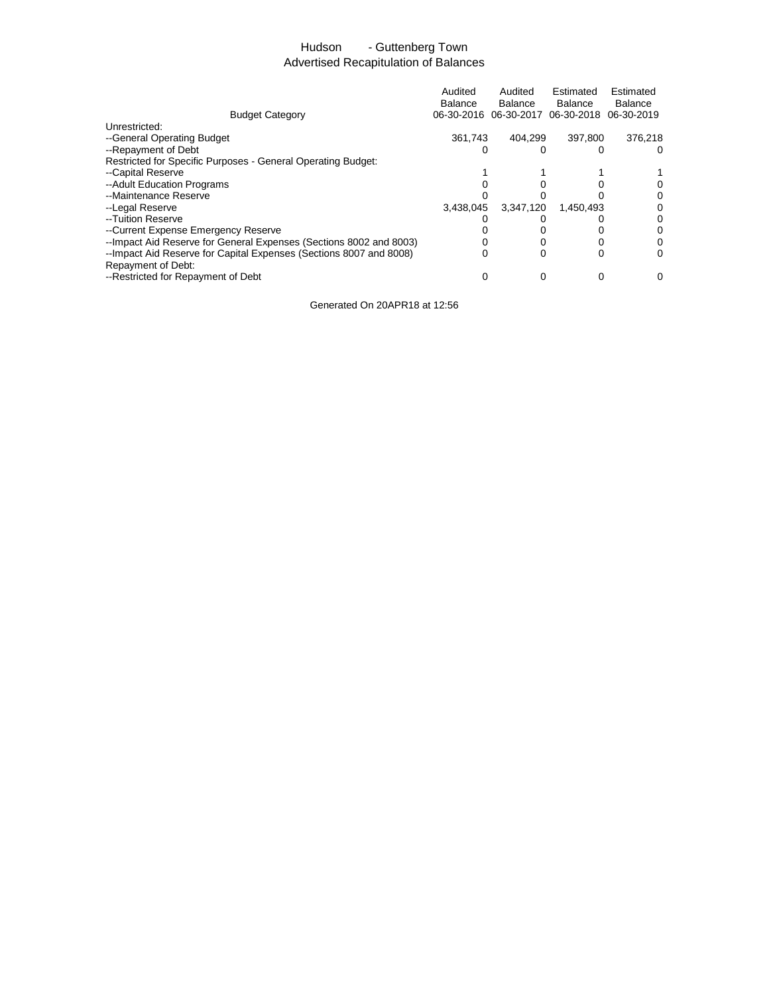# Hudson - Guttenberg Town Advertised Recapitulation of Balances

|                                                                    | Audited<br><b>Balance</b><br>06-30-2016 | Audited<br>Balance<br>06-30-2017 | Estimated<br>Balance<br>06-30-2018 06-30-2019 | Estimated<br><b>Balance</b> |
|--------------------------------------------------------------------|-----------------------------------------|----------------------------------|-----------------------------------------------|-----------------------------|
| <b>Budget Category</b>                                             |                                         |                                  |                                               |                             |
| Unrestricted:                                                      |                                         |                                  |                                               |                             |
| --General Operating Budget                                         | 361.743                                 | 404.299                          | 397.800                                       | 376.218                     |
| --Repayment of Debt                                                |                                         |                                  |                                               | $\Omega$                    |
| Restricted for Specific Purposes - General Operating Budget:       |                                         |                                  |                                               |                             |
| --Capital Reserve                                                  |                                         |                                  |                                               |                             |
| --Adult Education Programs                                         |                                         |                                  |                                               |                             |
| --Maintenance Reserve                                              |                                         |                                  |                                               |                             |
| --Legal Reserve                                                    | 3.438.045                               | 3.347.120                        | 1.450.493                                     | 0                           |
| --Tuition Reserve                                                  |                                         |                                  |                                               |                             |
| --Current Expense Emergency Reserve                                |                                         |                                  |                                               |                             |
| --Impact Aid Reserve for General Expenses (Sections 8002 and 8003) |                                         |                                  |                                               | 0                           |
| --Impact Aid Reserve for Capital Expenses (Sections 8007 and 8008) | 0                                       | 0                                |                                               | 0                           |
| Repayment of Debt:                                                 |                                         |                                  |                                               |                             |
| --Restricted for Repayment of Debt                                 |                                         | 0                                | ი                                             | 0                           |